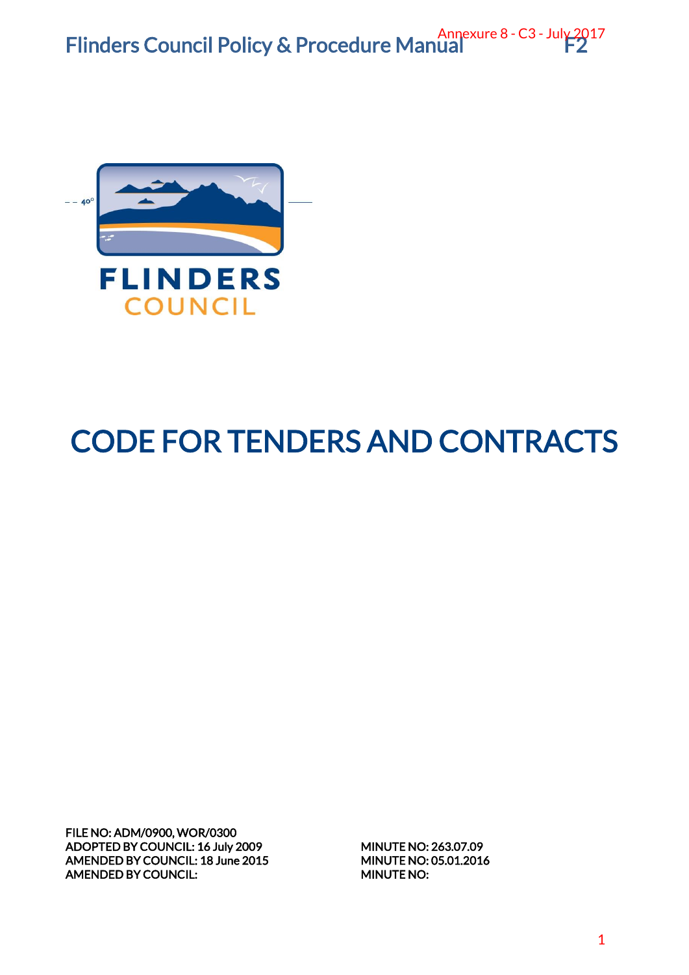



# CODE FOR TENDERS AND CONTRACTS Annexure 8 - C3 - July 2017<br>
Haal<br>
5.01.2016<br>
5.01.2016<br>
1

FILE NO: ADM/0900, WOR/0300 ADOPTED BY COUNCIL: 16 July 2009<br>
AMENDED BY COUNCIL: 18 June 2015 MINUTE NO: 05.01.2016 AMENDED BY COUNCIL: 18 June 2015 AMENDED BY COUNCIL: MINUTE NO: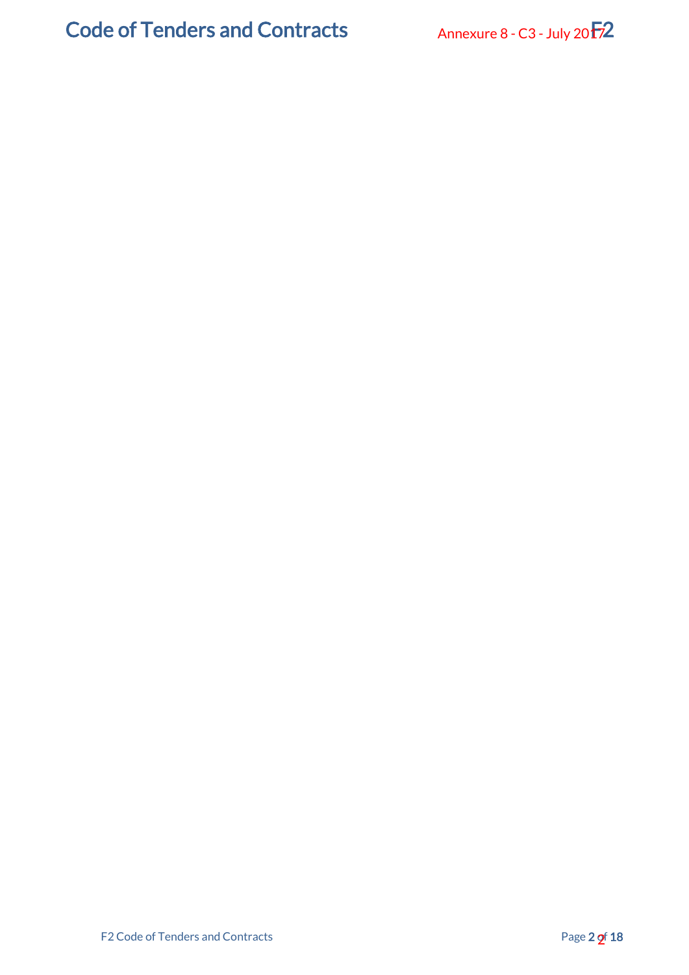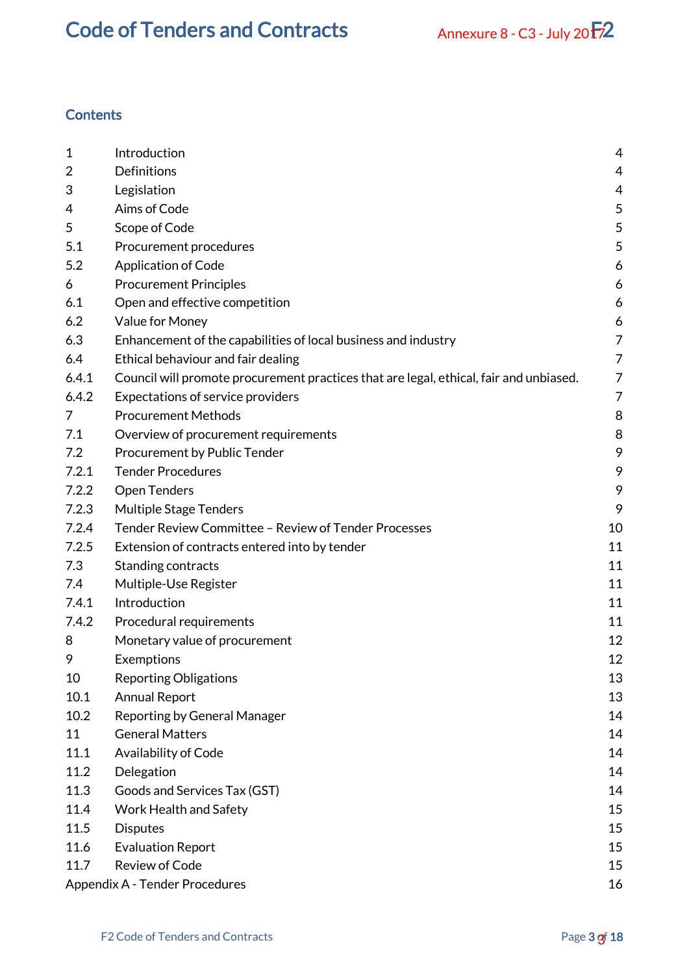## **Contents**

| Code of Tenders and Contracts<br>Annexure $8 - C3 - July 20172$ |                                                                                        |              |
|-----------------------------------------------------------------|----------------------------------------------------------------------------------------|--------------|
|                                                                 |                                                                                        |              |
| <b>Contents</b>                                                 |                                                                                        |              |
| 1                                                               | Introduction                                                                           | 4            |
| $\overline{2}$                                                  | Definitions                                                                            | 4            |
| 3                                                               | Legislation                                                                            | 4            |
| 4                                                               | Aims of Code                                                                           | 5            |
| 5                                                               | Scope of Code                                                                          | 5            |
| 5.1                                                             | Procurement procedures                                                                 | 5            |
| 5.2                                                             | <b>Application of Code</b>                                                             | 6            |
| 6                                                               | <b>Procurement Principles</b>                                                          | 6            |
| 6.1                                                             | Open and effective competition                                                         | 6            |
| 6.2                                                             | Value for Money                                                                        | 6            |
| 6.3                                                             | Enhancement of the capabilities of local business and industry                         | 7            |
| 6.4                                                             | Ethical behaviour and fair dealing                                                     | 7            |
| 6.4.1                                                           | Council will promote procurement practices that are legal, ethical, fair and unbiased. | 7            |
| 6.4.2                                                           | Expectations of service providers                                                      | 7            |
| 7                                                               | <b>Procurement Methods</b>                                                             | 8            |
| 7.1                                                             | Overview of procurement requirements                                                   | 8            |
| 7.2                                                             | Procurement by Public Tender                                                           | 9            |
| 7.2.1                                                           | <b>Tender Procedures</b>                                                               | 9            |
| 7.2.2                                                           | <b>Open Tenders</b>                                                                    | 9            |
| 7.2.3                                                           | <b>Multiple Stage Tenders</b>                                                          | 9            |
| 7.2.4                                                           | Tender Review Committee - Review of Tender Processes                                   | 10           |
| 7.2.5                                                           | Extension of contracts entered into by tender                                          | 11           |
| 7.3                                                             | Standing contracts                                                                     | 11           |
| 7.4                                                             | Multiple-Use Register                                                                  | 11           |
| 7.4.1                                                           | Introduction                                                                           | 11           |
| 7.4.2                                                           | Procedural requirements                                                                | 11           |
| 8                                                               | Monetary value of procurement                                                          | 12<br>12     |
| 9<br>10                                                         | Exemptions                                                                             | 13           |
| 10.1                                                            | <b>Reporting Obligations</b><br><b>Annual Report</b>                                   | 13           |
| 10.2                                                            | Reporting by General Manager                                                           | 14           |
| 11                                                              | <b>General Matters</b>                                                                 | 14           |
| 11.1                                                            | Availability of Code                                                                   | 14           |
| 11.2                                                            | Delegation                                                                             | 14           |
| 11.3                                                            | Goods and Services Tax (GST)                                                           | 14           |
| 11.4                                                            | Work Health and Safety                                                                 | 15           |
| 11.5                                                            | <b>Disputes</b>                                                                        | 15           |
| 11.6                                                            | <b>Evaluation Report</b>                                                               | 15           |
| 11.7                                                            | <b>Review of Code</b>                                                                  | 15           |
|                                                                 | <b>Appendix A - Tender Procedures</b>                                                  | 16           |
|                                                                 |                                                                                        |              |
|                                                                 | F2 Code of Tenders and Contracts                                                       | Page 3 of 18 |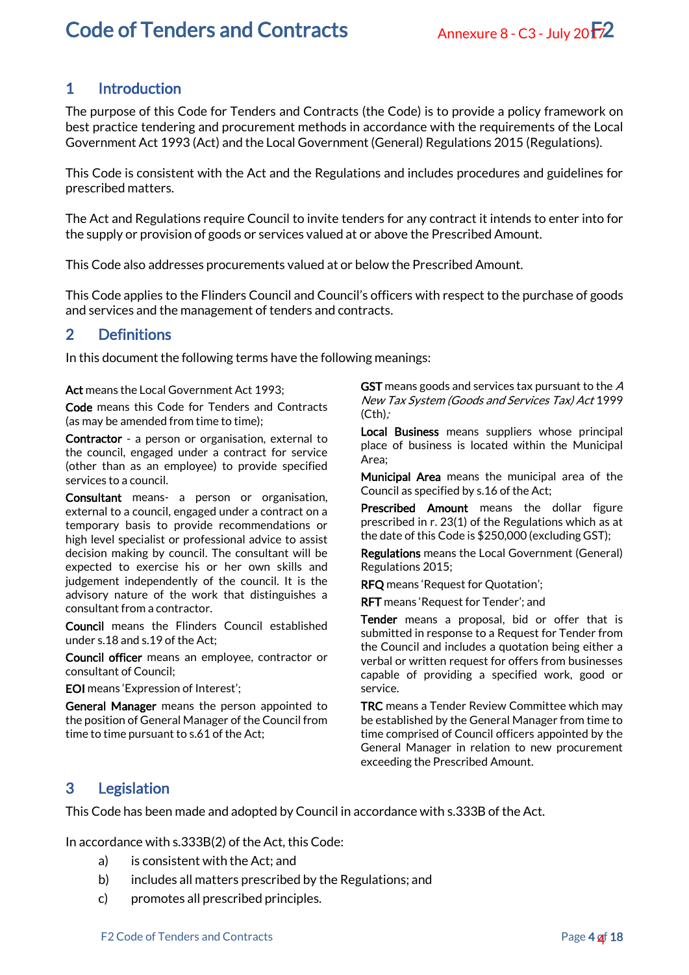# <span id="page-3-0"></span>1 Introduction

The purpose of this Code for Tenders and Contracts (the Code) is to provide a policy framework on best practice tendering and procurement methods in accordance with the requirements of the Local Government Act 1993 (Act) and the Local Government (General) Regulations 2015 (Regulations).

This Code is consistent with the Act and the Regulations and includes procedures and guidelines for prescribed matters.

The Act and Regulations require Council to invite tenders for any contract it intends to enter into for the supply or provision of goods or services valued at or above the Prescribed Amount.

This Code also addresses procurements valued at or below the Prescribed Amount.

This Code applies to the Flinders Council and Council's officers with respect to the purchase of goods and services and the management of tenders and contracts.

## <span id="page-3-1"></span>2 Definitions

In this document the following terms have the following meanings:

Act means the Local Government Act 1993:

Code means this Code for Tenders and Contracts (as may be amended from time to time);

Contractor - a person or organisation, external to the council, engaged under a contract for service (other than as an employee) to provide specified services to a council.

Consultant means- a person or organisation, external to a council, engaged under a contract on a temporary basis to provide recommendations or high level specialist or professional advice to assist decision making by council. The consultant will be expected to exercise his or her own skills and judgement independently of the council. It is the advisory nature of the work that distinguishes a consultant from a contractor.

Council means the Flinders Council established under s.18 and s.19 of the Act;

Council officer means an employee, contractor or consultant of Council;

EOI means 'Expression of Interest';

General Manager means the person appointed to the position of General Manager of the Council from time to time pursuant to s.61 of the Act;

GST means goods and services tax pursuant to the A New Tax System (Goods and Services Tax) Act 1999  $(Cth)$ :

Local Business means suppliers whose principal place of business is located within the Municipal Area;

Municipal Area means the municipal area of the Council as specified by s.16 of the Act;

Prescribed Amount means the dollar figure prescribed in r. 23(1) of the Regulations which as at the date of this Code is \$250,000 (excluding GST);

Regulations means the Local Government (General) Regulations 2015;

RFQ means 'Request for Quotation';

RFT means 'Request for Tender'; and

Tender means a proposal, bid or offer that is submitted in response to a Request for Tender from the Council and includes a quotation being either a verbal or written request for offers from businesses capable of providing a specified work, good or service. Annexure 8 - C3 - July 2017<br>
to provide a policy framework<br>
to provide a policy framework<br>
th the requirements of the Lc<br>
eigulations 2015 (Regulations).<br>
les procedures and guidelines<br>
ontract it intends to enter into<br>
r

TRC means a Tender Review Committee which may be established by the General Manager from time to time comprised of Council officers appointed by the General Manager in relation to new procurement exceeding the Prescribed Amount.

# <span id="page-3-2"></span>3 Legislation

This Code has been made and adopted by Council in accordance with s.333B of the Act.

In accordance with s.333B(2) of the Act, this Code:

- a) is consistent with the Act; and
- b) includes all matters prescribed by the Regulations; and
- c) promotes all prescribed principles.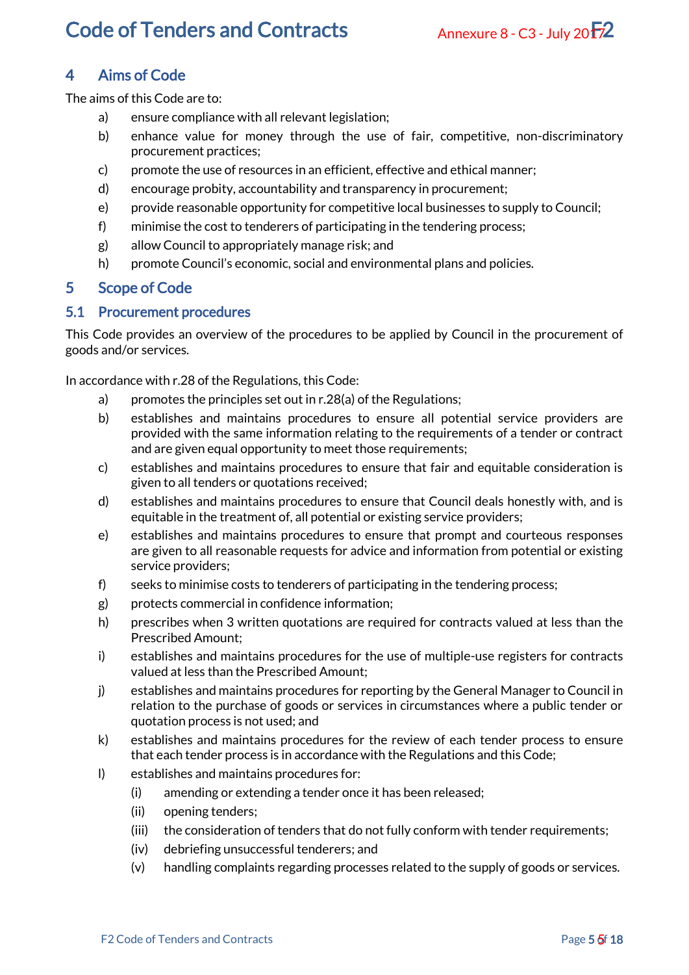# <span id="page-4-0"></span>4 Aims of Code

The aims of this Code are to:

- a) ensure compliance with all relevant legislation;
- b) enhance value for money through the use of fair, competitive, non-discriminatory procurement practices;
- c) promote the use of resources in an efficient, effective and ethical manner;
- d) encourage probity, accountability and transparency in procurement;
- e) provide reasonable opportunity for competitive local businesses to supply to Council;
- f) minimise the cost to tenderers of participating in the tendering process;
- g) allow Council to appropriately manage risk; and
- h) promote Council's economic, social and environmental plans and policies.

# <span id="page-4-1"></span>5 Scope of Code

#### <span id="page-4-2"></span>5.1 Procurement procedures

This Code provides an overview of the procedures to be applied by Council in the procurement of goods and/or services.

In accordance with r.28 of the Regulations, this Code:

- a) promotes the principles set out in r.28(a) of the Regulations;
- b) establishes and maintains procedures to ensure all potential service providers are provided with the same information relating to the requirements of a tender or contract and are given equal opportunity to meet those requirements; Annexure 8 - C3 - July 2017<br>
competitive, non-discriminat<br>
de thical manner;<br>
rocurement;<br>
rocurement;<br>
rocurement;<br>
sinesses to supply to Council;<br>
plans and policies.<br>
plans and policies.<br>
plans and policies.<br>
plans and
- c) establishes and maintains procedures to ensure that fair and equitable consideration is given to all tenders or quotations received;
- d) establishes and maintains procedures to ensure that Council deals honestly with, and is equitable in the treatment of, all potential or existing service providers;
- e) establishes and maintains procedures to ensure that prompt and courteous responses are given to all reasonable requests for advice and information from potential or existing service providers;
- f) seeks to minimise costs to tenderers of participating in the tendering process;
- g) protects commercial in confidence information;
- h) prescribes when 3 written quotations are required for contracts valued at less than the Prescribed Amount;
- i) establishes and maintains procedures for the use of multiple-use registers for contracts valued at less than the Prescribed Amount;
- j) establishes and maintains procedures for reporting by the General Manager to Council in relation to the purchase of goods or services in circumstances where a public tender or quotation process is not used; and
- k) establishes and maintains procedures for the review of each tender process to ensure that each tender process is in accordance with the Regulations and this Code;
- l) establishes and maintains procedures for:
	- (i) amending or extending a tender once it has been released;
	- (ii) opening tenders;
	- (iii) the consideration of tenders that do not fully conform with tender requirements;
	- (iv) debriefing unsuccessful tenderers; and
	- (v) handling complaints regarding processes related to the supply of goods or services.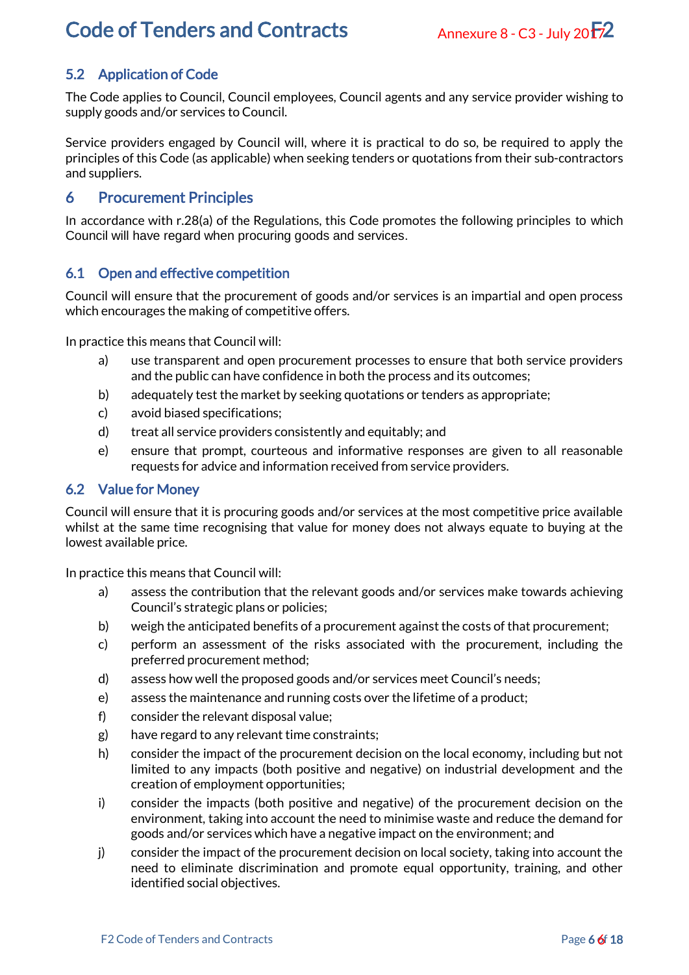# <span id="page-5-0"></span>5.2 Application of Code

The Code applies to Council, Council employees, Council agents and any service provider wishing to supply goods and/or services to Council.

Service providers engaged by Council will, where it is practical to do so, be required to apply the principles of this Code (as applicable) when seeking tenders or quotations from their sub-contractors and suppliers.

# <span id="page-5-1"></span>6 Procurement Principles

In accordance with r.28(a) of the Regulations, this Code promotes the following principles to which Council will have regard when procuring goods and services.

# <span id="page-5-2"></span>6.1 Open and effective competition

Council will ensure that the procurement of goods and/or services is an impartial and open process which encourages the making of competitive offers.

In practice this means that Council will:

- a) use transparent and open procurement processes to ensure that both service providers and the public can have confidence in both the process and its outcomes;
- b) adequately test the market by seeking quotations or tenders as appropriate;
- c) avoid biased specifications;
- d) treat all service providers consistently and equitably; and
- e) ensure that prompt, courteous and informative responses are given to all reasonable requests for advice and information received from service providers.

#### <span id="page-5-3"></span>6.2 Value for Money

Council will ensure that it is procuring goods and/or services at the most competitive price available whilst at the same time recognising that value for money does not always equate to buying at the lowest available price.

In practice this means that Council will:

- a) assess the contribution that the relevant goods and/or services make towards achieving Council's strategic plans or policies;
- b) weigh the anticipated benefits of a procurement against the costs of that procurement;
- c) perform an assessment of the risks associated with the procurement, including the preferred procurement method;
- d) assess how well the proposed goods and/or services meet Council's needs;
- e) assess the maintenance and running costs over the lifetime of a product;
- f) consider the relevant disposal value;
- g) have regard to any relevant time constraints;
- h) consider the impact of the procurement decision on the local economy, including but not limited to any impacts (both positive and negative) on industrial development and the creation of employment opportunities;
- i) consider the impacts (both positive and negative) of the procurement decision on the environment, taking into account the need to minimise waste and reduce the demand for goods and/or services which have a negative impact on the environment; and Annexure  $8 - C3$  - July 2017<br>
d any service provider wishing<br>
d any service provider wishing<br>
b do so, be required to apply<br>
the following principles to wh<br>
the following principles to wh<br>
is is an impartial and open proc<br>
- j) consider the impact of the procurement decision on local society, taking into account the need to eliminate discrimination and promote equal opportunity, training, and other identified social objectives.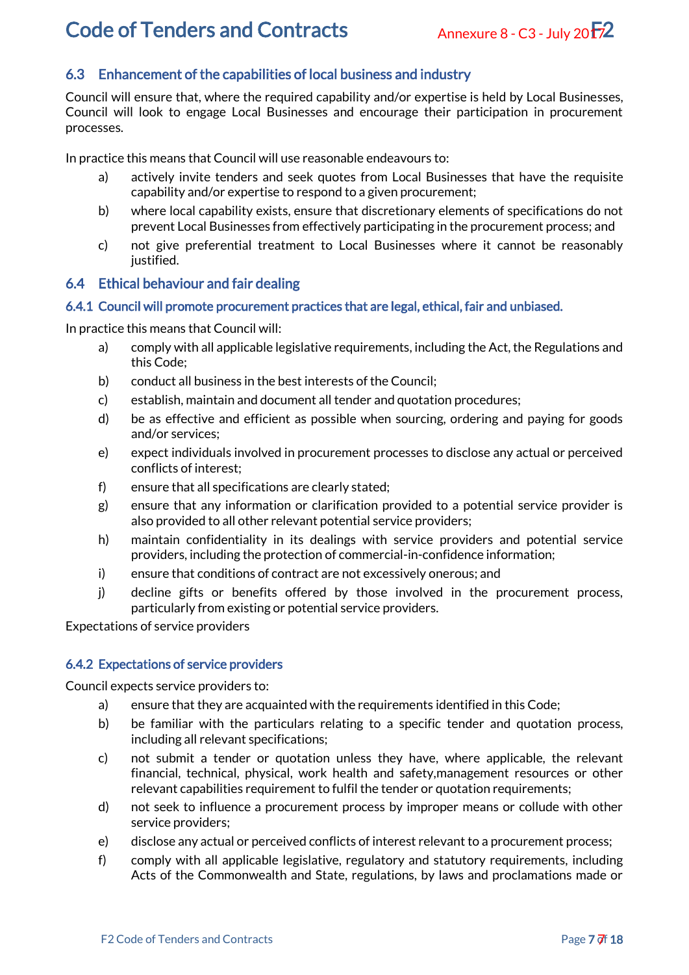# <span id="page-6-0"></span>6.3 Enhancement of the capabilities of local business and industry

Council will ensure that, where the required capability and/or expertise is held by Local Businesses, Council will look to engage Local Businesses and encourage their participation in procurement processes. Annexure  $8 - C3 - July 2017$ <br>
Uustry<br>
Uustry<br>
ertise is held by Local Business<br>
eir participation in procurem<br>
ement;<br>
concernal and the procurement process; are<br>
ement;<br>
elements of specifications do<br>
where it cannot be reason

In practice this means that Council will use reasonable endeavours to:

- a) actively invite tenders and seek quotes from Local Businesses that have the requisite capability and/or expertise to respond to a given procurement;
- b) where local capability exists, ensure that discretionary elements of specifications do not prevent Local Businesses from effectively participating in the procurement process; and
- c) not give preferential treatment to Local Businesses where it cannot be reasonably justified.

#### <span id="page-6-1"></span>6.4 Ethical behaviour and fair dealing

#### <span id="page-6-2"></span>6.4.1 Council will promote procurement practices that are legal, ethical, fair and unbiased.

In practice this means that Council will:

- a) comply with all applicable legislative requirements, including the Act, the Regulations and this Code;
- b) conduct all business in the best interests of the Council;
- c) establish, maintain and document all tender and quotation procedures;
- d) be as effective and efficient as possible when sourcing, ordering and paying for goods and/or services;
- e) expect individuals involved in procurement processes to disclose any actual or perceived conflicts of interest;
- f) ensure that all specifications are clearly stated;
- g) ensure that any information or clarification provided to a potential service provider is also provided to all other relevant potential service providers;
- h) maintain confidentiality in its dealings with service providers and potential service providers, including the protection of commercial-in-confidence information;
- i) ensure that conditions of contract are not excessively onerous; and
- j) decline gifts or benefits offered by those involved in the procurement process, particularly from existing or potential service providers.

Expectations of service providers

#### <span id="page-6-3"></span>6.4.2 Expectations of service providers

Council expects service providers to:

- a) ensure that they are acquainted with the requirements identified in this Code;
- b) be familiar with the particulars relating to a specific tender and quotation process, including all relevant specifications;
- c) not submit a tender or quotation unless they have, where applicable, the relevant financial, technical, physical, work health and safety,management resources or other relevant capabilities requirement to fulfil the tender or quotation requirements;
- d) not seek to influence a procurement process by improper means or collude with other service providers;
- e) disclose any actual or perceived conflicts of interest relevant to a procurement process;
- f) comply with all applicable legislative, regulatory and statutory requirements, including Acts of the Commonwealth and State, regulations, by laws and proclamations made or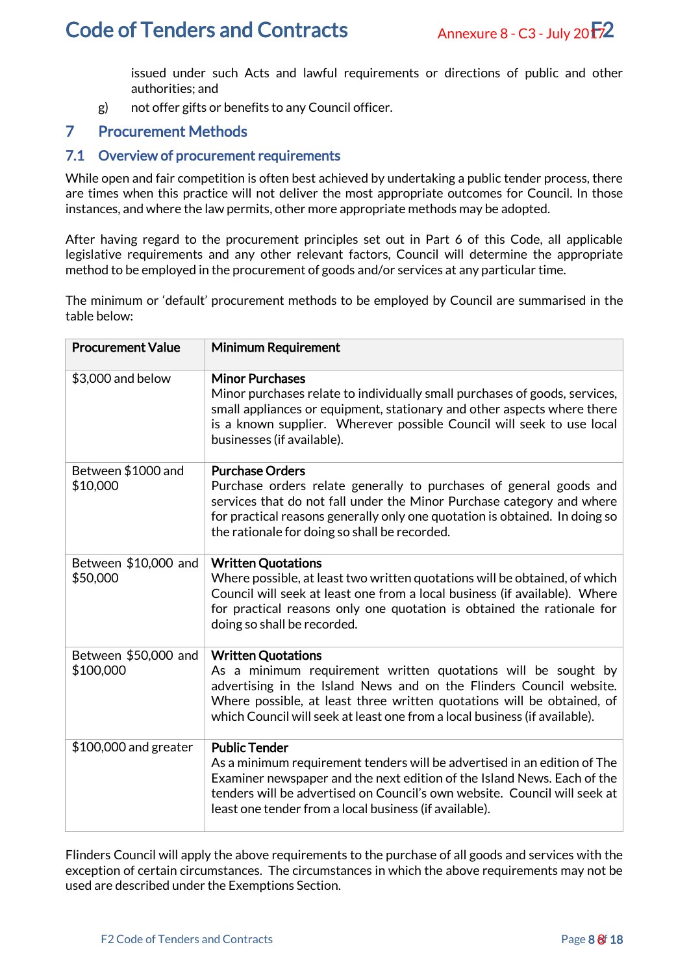# <span id="page-7-0"></span>7 Procurement Methods

#### <span id="page-7-1"></span>7.1 Overview of procurement requirements

|                                                  | Code of Tenders and Contracts<br>Annexure 8 - C3 - July 20174                                                                                                                                                                                                                                                             |
|--------------------------------------------------|---------------------------------------------------------------------------------------------------------------------------------------------------------------------------------------------------------------------------------------------------------------------------------------------------------------------------|
| authorities; and<br>g)                           | issued under such Acts and lawful requirements or directions of public and other<br>not offer gifts or benefits to any Council officer.                                                                                                                                                                                   |
| $\overline{7}$<br><b>Procurement Methods</b>     |                                                                                                                                                                                                                                                                                                                           |
| 7.1                                              | Overview of procurement requirements                                                                                                                                                                                                                                                                                      |
|                                                  | While open and fair competition is often best achieved by undertaking a public tender process, there<br>are times when this practice will not deliver the most appropriate outcomes for Council. In those<br>instances, and where the law permits, other more appropriate methods may be adopted.                         |
|                                                  | After having regard to the procurement principles set out in Part 6 of this Code, all applicable<br>legislative requirements and any other relevant factors, Council will determine the appropriate<br>method to be employed in the procurement of goods and/or services at any particular time.                          |
| table below:                                     | The minimum or 'default' procurement methods to be employed by Council are summarised in the                                                                                                                                                                                                                              |
| <b>Procurement Value</b>                         | <b>Minimum Requirement</b>                                                                                                                                                                                                                                                                                                |
| \$3,000 and below                                | <b>Minor Purchases</b><br>Minor purchases relate to individually small purchases of goods, services,<br>small appliances or equipment, stationary and other aspects where there<br>is a known supplier. Wherever possible Council will seek to use local<br>businesses (if available).                                    |
| Between \$1000 and<br>\$10,000                   | <b>Purchase Orders</b><br>Purchase orders relate generally to purchases of general goods and<br>services that do not fall under the Minor Purchase category and where<br>for practical reasons generally only one quotation is obtained. In doing so<br>the rationale for doing so shall be recorded.                     |
| Between \$10,000 and<br>\$50,000                 | <b>Written Quotations</b><br>Where possible, at least two written quotations will be obtained, of which<br>Council will seek at least one from a local business (if available). Where<br>for practical reasons only one quotation is obtained the rationale for<br>doing so shall be recorded.                            |
| Between \$50,000 and<br>\$100,000                | <b>Written Quotations</b><br>As a minimum requirement written quotations will be sought by<br>advertising in the Island News and on the Flinders Council website.<br>Where possible, at least three written quotations will be obtained, of<br>which Council will seek at least one from a local business (if available). |
| \$100,000 and greater                            | <b>Public Tender</b><br>As a minimum requirement tenders will be advertised in an edition of The<br>Examiner newspaper and the next edition of the Island News. Each of the<br>tenders will be advertised on Council's own website. Council will seek at<br>least one tender from a local business (if available).        |
| used are described under the Exemptions Section. | Flinders Council will apply the above requirements to the purchase of all goods and services with the<br>exception of certain circumstances. The circumstances in which the above requirements may not be                                                                                                                 |
| F2 Code of Tenders and Contracts                 | Page 8 8 18                                                                                                                                                                                                                                                                                                               |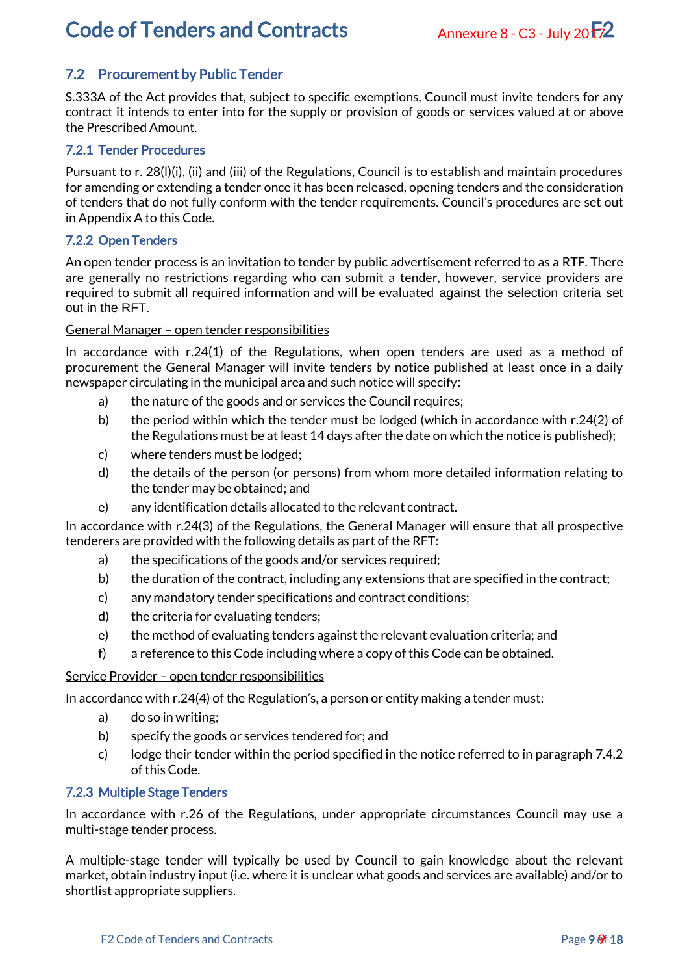# <span id="page-8-0"></span>7.2 Procurement by Public Tender

S.333A of the Act provides that, subject to specific exemptions, Council must invite tenders for any contract it intends to enter into for the supply or provision of goods or services valued at or above the Prescribed Amount.

#### <span id="page-8-1"></span>7.2.1 Tender Procedures

Pursuant to r. 28(l)(i), (ii) and (iii) of the Regulations, Council is to establish and maintain procedures for amending or extending a tender once it has been released, opening tenders and the consideration of tenders that do not fully conform with the tender requirements. Council's procedures are set out in Appendix A to this Code. Annexure  $8 - C3$  - July 2017<br>
buncil must invite tenders for a<br>
buncil must invite tenders for a<br>
dus or services valued at or ab<br>
stablish and maintain procedures<br>
acquil's procedures are set<br>
ement referred to as a RTF.

#### <span id="page-8-2"></span>7.2.2 Open Tenders

An open tender process is an invitation to tender by public advertisement referred to as a RTF. There are generally no restrictions regarding who can submit a tender, however, service providers are required to submit all required information and will be evaluated against the selection criteria set out in the RFT.

#### General Manager – open tender responsibilities

In accordance with r.24(1) of the Regulations, when open tenders are used as a method of procurement the General Manager will invite tenders by notice published at least once in a daily newspaper circulating in the municipal area and such notice will specify:

- a) the nature of the goods and or services the Council requires;
- b) the period within which the tender must be lodged (which in accordance with r.24(2) of the Regulations must be at least 14 days after the date on which the notice is published);
- c) where tenders must be lodged;
- d) the details of the person (or persons) from whom more detailed information relating to the tender may be obtained; and
- e) any identification details allocated to the relevant contract.

In accordance with r.24(3) of the Regulations, the General Manager will ensure that all prospective tenderers are provided with the following details as part of the RFT:

- a) the specifications of the goods and/or services required;
- b) the duration of the contract, including any extensions that are specified in the contract;
- c) any mandatory tender specifications and contract conditions;
- d) the criteria for evaluating tenders;
- e) the method of evaluating tenders against the relevant evaluation criteria; and
- f) a reference to this Code including where a copy of this Code can be obtained.

#### Service Provider – open tender responsibilities

In accordance with r.24(4) of the Regulation's, a person or entity making a tender must:

- a) do so in writing;
- b) specify the goods or services tendered for; and
- c) lodge their tender within the period specified in the notice referred to in paragraph 7.4.2 of this Code.

#### <span id="page-8-3"></span>7.2.3 Multiple Stage Tenders

In accordance with r.26 of the Regulations, under appropriate circumstances Council may use a multi-stage tender process.

A multiple-stage tender will typically be used by Council to gain knowledge about the relevant market, obtain industry input (i.e. where it is unclear what goods and services are available) and/or to shortlist appropriate suppliers.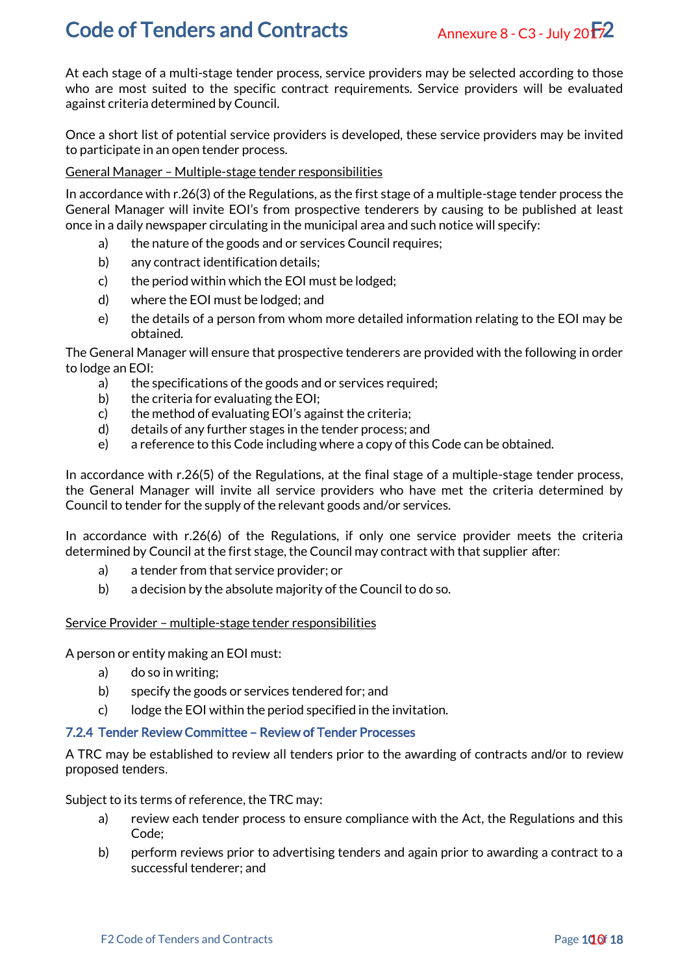# Code of Tenders and Contracts Annexure 8 - C3 - July 20 F2



At each stage of a multi-stage tender process, service providers may be selected according to those who are most suited to the specific contract requirements. Service providers will be evaluated against criteria determined by Council. Annexure  $8 - C3 - July 2017$ <br>ay be selected according to th<br>vice providers will be evalua<br>service providers may be invi<br>multiple-stage tender process<br>causing to be published at le<br>notice will specify:<br>i;<br> $\therefore$ <br>mation relating t

Once a short list of potential service providers is developed, these service providers may be invited to participate in an open tender process.

#### General Manager – Multiple-stage tender responsibilities

In accordance with r.26(3) of the Regulations, as the first stage of a multiple-stage tender process the General Manager will invite EOI's from prospective tenderers by causing to be published at least once in a daily newspaper circulating in the municipal area and such notice will specify:

- a) the nature of the goods and or services Council requires;
- b) any contract identification details;
- c) the period within which the EOI must be lodged;
- d) where the EOI must be lodged; and
- e) the details of a person from whom more detailed information relating to the EOI may be obtained.

The General Manager will ensure that prospective tenderers are provided with the following in order to lodge an EOI:

- a) the specifications of the goods and or services required;
- b) the criteria for evaluating the EOI;
- c) the method of evaluating EOI's against the criteria;
- d) details of any further stages in the tender process; and
- e) a reference to this Code including where a copy of this Code can be obtained.

In accordance with r.26(5) of the Regulations, at the final stage of a multiple-stage tender process, the General Manager will invite all service providers who have met the criteria determined by Council to tender for the supply of the relevant goods and/or services.

In accordance with r.26(6) of the Regulations, if only one service provider meets the criteria determined by Council at the first stage, the Council may contract with that supplier after:

- a) a tender from that service provider; or
- b) a decision by the absolute majority of the Council to do so.

#### Service Provider – multiple-stage tender responsibilities

A person or entity making an EOI must:

- a) do so in writing;
- b) specify the goods or services tendered for; and
- c) lodge the EOI within the period specified in the invitation.

#### <span id="page-9-0"></span>7.2.4 Tender Review Committee – Review of Tender Processes

A TRC may be established to review all tenders prior to the awarding of contracts and/or to review proposed tenders.

Subject to its terms of reference, the TRC may:

- a) review each tender process to ensure compliance with the Act, the Regulations and this Code;
- b) perform reviews prior to advertising tenders and again prior to awarding a contract to a successful tenderer; and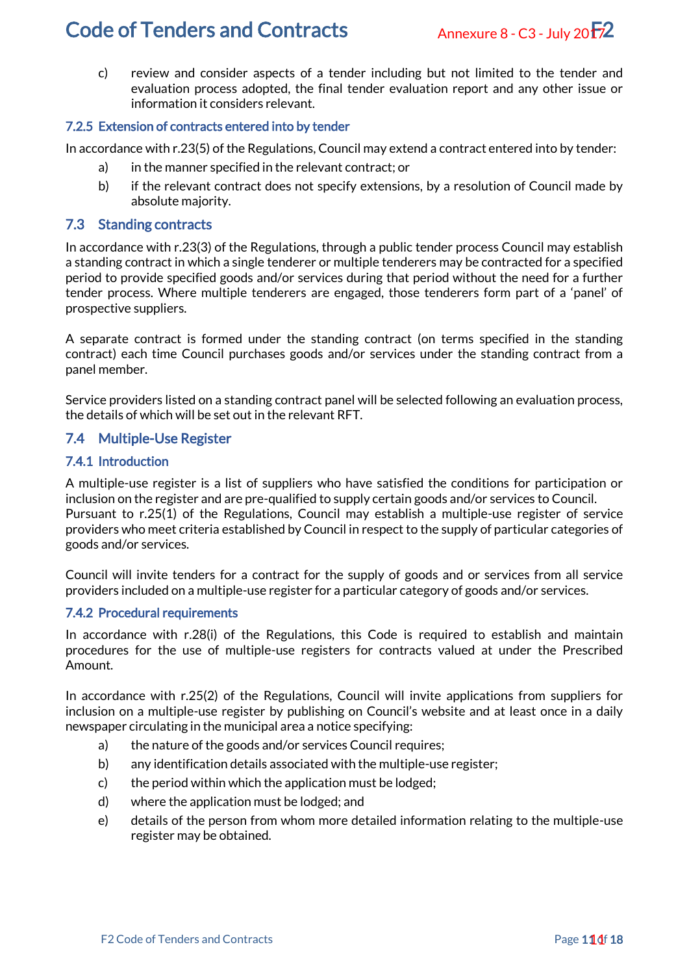c) review and consider aspects of a tender including but not limited to the tender and evaluation process adopted, the final tender evaluation report and any other issue or information it considers relevant.

#### <span id="page-10-0"></span>7.2.5 Extension of contracts entered into by tender

In accordance with r.23(5) of the Regulations, Council may extend a contract entered into by tender:

- a) in the manner specified in the relevant contract; or
- b) if the relevant contract does not specify extensions, by a resolution of Council made by absolute majority.

#### <span id="page-10-1"></span>7.3 Standing contracts

In accordance with r.23(3) of the Regulations, through a public tender process Council may establish a standing contract in which a single tenderer or multiple tenderers may be contracted for a specified period to provide specified goods and/or services during that period without the need for a further tender process. Where multiple tenderers are engaged, those tenderers form part of a 'panel' of prospective suppliers.

A separate contract is formed under the standing contract (on terms specified in the standing contract) each time Council purchases goods and/or services under the standing contract from a panel member.

Service providers listed on a standing contract panel will be selected following an evaluation process, the details of which will be set out in the relevant RFT.

#### <span id="page-10-2"></span>7.4 Multiple-Use Register

#### <span id="page-10-3"></span>7.4.1 Introduction

A multiple-use register is a list of suppliers who have satisfied the conditions for participation or inclusion on the register and are pre-qualified to supply certain goods and/or services to Council. Pursuant to r.25(1) of the Regulations, Council may establish a multiple-use register of service providers who meet criteria established by Council in respect to the supply of particular categories of goods and/or services. Annexure  $8 - C3$  - July  $2017$ <br>
2017<br>
2017<br>
2017<br>
2017<br>
2017<br>
2017<br>
2017<br>
2017<br>
2017<br>
2017<br>
2017<br>
2017<br>
2017<br>
2017<br>
2017<br>
2017<br>
2017<br>
2017<br>
2017<br>
2018<br>
2019<br>
2019<br>
2019<br>
2019<br>
2019<br>
2019<br>
2019<br>
2019<br>
2019<br>
2019<br>
2019<br>
2019

Council will invite tenders for a contract for the supply of goods and or services from all service providers included on a multiple-use register for a particular category of goods and/or services.

#### <span id="page-10-4"></span>7.4.2 Procedural requirements

In accordance with r.28(i) of the Regulations, this Code is required to establish and maintain procedures for the use of multiple-use registers for contracts valued at under the Prescribed Amount.

In accordance with r.25(2) of the Regulations, Council will invite applications from suppliers for inclusion on a multiple-use register by publishing on Council's website and at least once in a daily newspaper circulating in the municipal area a notice specifying:

- a) the nature of the goods and/or services Council requires;
- b) any identification details associated with the multiple-use register;
- c) the period within which the application must be lodged;
- d) where the application must be lodged; and
- e) details of the person from whom more detailed information relating to the multiple-use register may be obtained.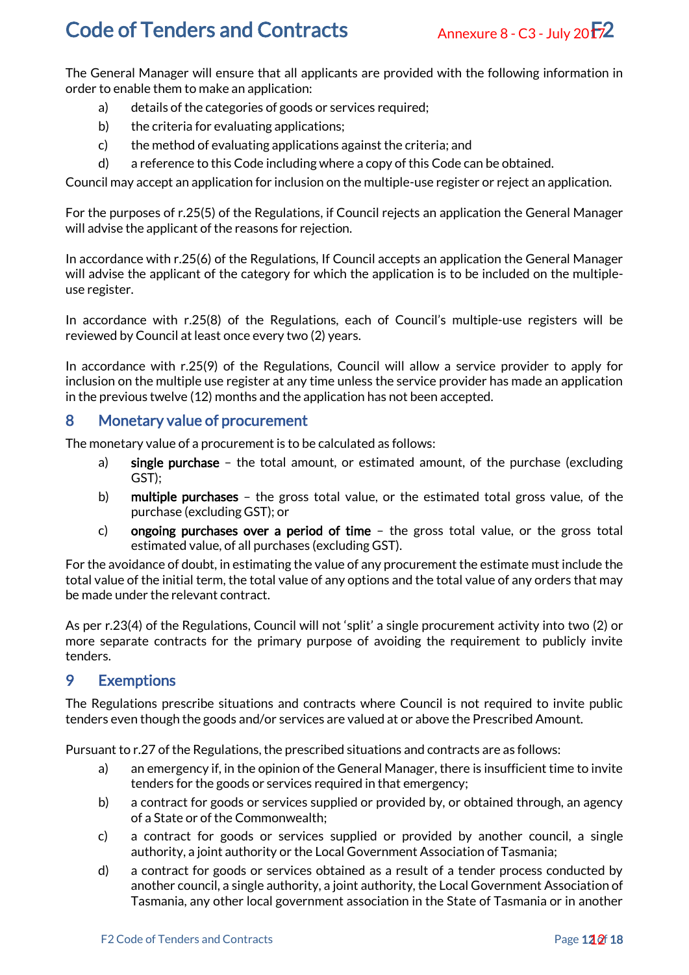The General Manager will ensure that all applicants are provided with the following information in order to enable them to make an application:

- a) details of the categories of goods or services required;
- b) the criteria for evaluating applications;
- c) the method of evaluating applications against the criteria; and
- d) a reference to this Code including where a copy of this Code can be obtained.

Council may accept an application for inclusion on the multiple-use register or reject an application.

For the purposes of r.25(5) of the Regulations, if Council rejects an application the General Manager will advise the applicant of the reasons for rejection.

In accordance with r.25(6) of the Regulations, If Council accepts an application the General Manager will advise the applicant of the category for which the application is to be included on the multipleuse register.

In accordance with r.25(8) of the Regulations, each of Council's multiple-use registers will be reviewed by Council at least once every two (2) years.

In accordance with r.25(9) of the Regulations, Council will allow a service provider to apply for inclusion on the multiple use register at any time unless the service provider has made an application in the previous twelve (12) months and the application has not been accepted. Annexure  $8 - C3$  - July  $2017$ <br>with the following information<br>ia; and<br>code can be obtained.<br>application the General Mana<br>application the General Mana<br>is to be included on the multif<br>is to be included on the multif<br>is to be

## <span id="page-11-0"></span>8 Monetary value of procurement

The monetary value of a procurement is to be calculated as follows:

- a) single purchase the total amount, or estimated amount, of the purchase (excluding GST);
- b) multiple purchases the gross total value, or the estimated total gross value, of the purchase (excluding GST); or
- c) ongoing purchases over a period of time  $-$  the gross total value, or the gross total estimated value, of all purchases (excluding GST).

For the avoidance of doubt, in estimating the value of any procurement the estimate must include the total value of the initial term, the total value of any options and the total value of any orders that may be made under the relevant contract.

As per r.23(4) of the Regulations, Council will not 'split' a single procurement activity into two (2) or more separate contracts for the primary purpose of avoiding the requirement to publicly invite tenders.

## <span id="page-11-1"></span>9 Exemptions

The Regulations prescribe situations and contracts where Council is not required to invite public tenders even though the goods and/or services are valued at or above the Prescribed Amount.

Pursuant to r.27 of the Regulations, the prescribed situations and contracts are as follows:

- a) an emergency if, in the opinion of the General Manager, there is insufficient time to invite tenders for the goods or services required in that emergency;
- b) a contract for goods or services supplied or provided by, or obtained through, an agency of a State or of the Commonwealth;
- c) a contract for goods or services supplied or provided by another council, a single authority, a joint authority or the Local Government Association of Tasmania;
- d) a contract for goods or services obtained as a result of a tender process conducted by another council, a single authority, a joint authority, the Local Government Association of Tasmania, any other local government association in the State of Tasmania or in another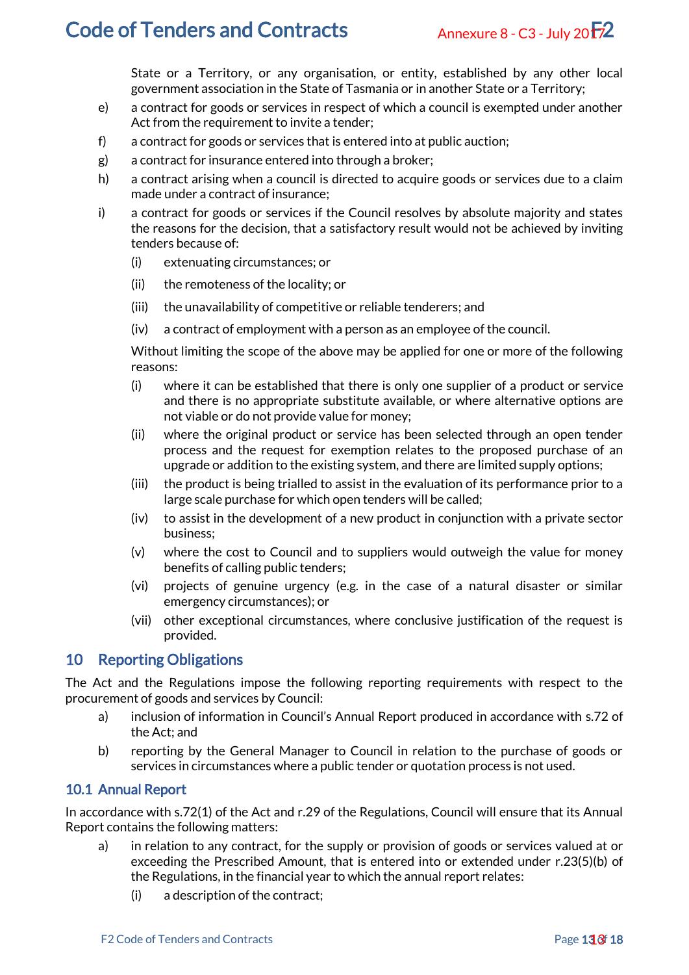State or a Territory, or any organisation, or entity, established by any other local government association in the State of Tasmania or in another State or a Territory;

- e) a contract for goods or services in respect of which a council is exempted under another Act from the requirement to invite a tender;
- f) a contract for goods or services that is entered into at public auction;
- g) a contract for insurance entered into through a broker;
- h) a contract arising when a council is directed to acquire goods or services due to a claim made under a contract of insurance;
- i) a contract for goods or services if the Council resolves by absolute majority and states the reasons for the decision, that a satisfactory result would not be achieved by inviting tenders because of: Annexure  $8 - C3$  - July  $2017$ <br>established by any other lot<br>enter State or a Territory;<br>ouncil is exempted under anot<br>ublic auction;<br>goods or services due to a class by absolute majority and sta<br>by absolute majority and st
	- (i) extenuating circumstances; or
	- (ii) the remoteness of the locality; or
	- (iii) the unavailability of competitive or reliable tenderers; and
	- (iv) a contract of employment with a person as an employee of the council.

Without limiting the scope of the above may be applied for one or more of the following reasons:

- (i) where it can be established that there is only one supplier of a product or service and there is no appropriate substitute available, or where alternative options are not viable or do not provide value for money;
- (ii) where the original product or service has been selected through an open tender process and the request for exemption relates to the proposed purchase of an upgrade or addition to the existing system, and there are limited supply options;
- (iii) the product is being trialled to assist in the evaluation of its performance prior to a large scale purchase for which open tenders will be called;
- (iv) to assist in the development of a new product in conjunction with a private sector business;
- (v) where the cost to Council and to suppliers would outweigh the value for money benefits of calling public tenders;
- (vi) projects of genuine urgency (e.g. in the case of a natural disaster or similar emergency circumstances); or
- (vii) other exceptional circumstances, where conclusive justification of the request is provided.

## <span id="page-12-0"></span>10 Reporting Obligations

The Act and the Regulations impose the following reporting requirements with respect to the procurement of goods and services by Council:

- a) inclusion of information in Council's Annual Report produced in accordance with s.72 of the Act; and
- b) reporting by the General Manager to Council in relation to the purchase of goods or services in circumstances where a public tender or quotation process is not used.

#### <span id="page-12-1"></span>10.1 Annual Report

In accordance with s.72(1) of the Act and r.29 of the Regulations, Council will ensure that its Annual Report contains the following matters:

- a) in relation to any contract, for the supply or provision of goods or services valued at or exceeding the Prescribed Amount, that is entered into or extended under r.23(5)(b) of the Regulations, in the financial year to which the annual report relates:
	- (i) a description of the contract;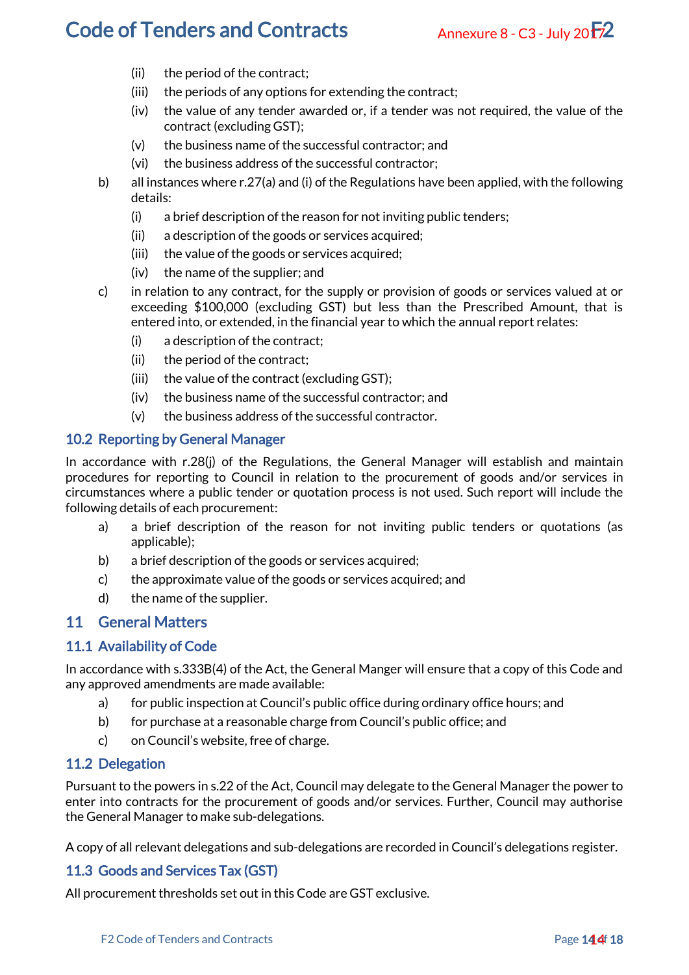- (ii) the period of the contract;
- (iii) the periods of any options for extending the contract;
- (iv) the value of any tender awarded or, if a tender was not required, the value of the contract (excluding GST);
- (v) the business name of the successful contractor; and
- (vi) the business address of the successful contractor;
- b) all instances where r.27(a) and (i) of the Regulations have been applied, with the following details:
	- (i) a brief description of the reason for not inviting public tenders;
	- (ii) a description of the goods or services acquired;
	- (iii) the value of the goods or services acquired;
	- (iv) the name of the supplier; and
- c) in relation to any contract, for the supply or provision of goods or services valued at or exceeding \$100,000 (excluding GST) but less than the Prescribed Amount, that is entered into, or extended, in the financial year to which the annual report relates:
	- (i) a description of the contract;
	- (ii) the period of the contract;
	- (iii) the value of the contract (excluding GST);
	- (iv) the business name of the successful contractor; and
	- (v) the business address of the successful contractor.

#### <span id="page-13-0"></span>10.2 Reporting by General Manager

In accordance with r.28(j) of the Regulations, the General Manager will establish and maintain procedures for reporting to Council in relation to the procurement of goods and/or services in circumstances where a public tender or quotation process is not used. Such report will include the following details of each procurement: Annexure 8 - C3 - July 201714

- a) a brief description of the reason for not inviting public tenders or quotations (as applicable);
- b) a brief description of the goods or services acquired;
- c) the approximate value of the goods or services acquired; and
- d) the name of the supplier.

#### <span id="page-13-1"></span>11 General Matters

#### <span id="page-13-2"></span>11.1 Availability of Code

In accordance with s.333B(4) of the Act, the General Manger will ensure that a copy of this Code and any approved amendments are made available:

- a) for public inspection at Council's public office during ordinary office hours; and
- b) for purchase at a reasonable charge from Council's public office; and
- c) on Council's website, free of charge.

#### <span id="page-13-3"></span>11.2 Delegation

Pursuant to the powers in s.22 of the Act, Council may delegate to the General Manager the power to enter into contracts for the procurement of goods and/or services. Further, Council may authorise the General Manager to make sub-delegations.

A copy of all relevant delegations and sub-delegations are recorded in Council's delegations register.

## <span id="page-13-4"></span>11.3 Goods and Services Tax (GST)

All procurement thresholds set out in this Code are GST exclusive.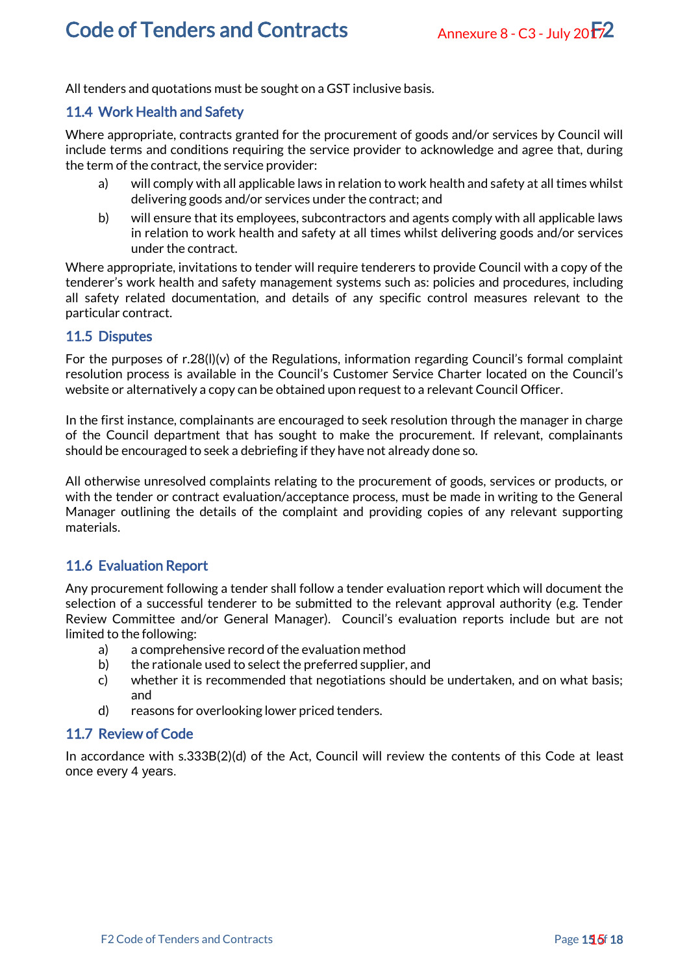All tenders and quotations must be sought on a GST inclusive basis.

#### <span id="page-14-0"></span>11.4 Work Health and Safety

Where appropriate, contracts granted for the procurement of goods and/or services by Council will include terms and conditions requiring the service provider to acknowledge and agree that, during the term of the contract, the service provider:

- a) will comply with all applicable laws in relation to work health and safety at all times whilst delivering goods and/or services under the contract; and
- b) will ensure that its employees, subcontractors and agents comply with all applicable laws in relation to work health and safety at all times whilst delivering goods and/or services under the contract.

Where appropriate, invitations to tender will require tenderers to provide Council with a copy of the tenderer's work health and safety management systems such as: policies and procedures, including all safety related documentation, and details of any specific control measures relevant to the particular contract. Annexure 8 - C3 - July 2017<br>Annexure 8 - C3 - July 2017<br>As and/or services by Council<br>throwledge and agree that, durealth and safety at all times which<br>thats comply with all applicable last delivering goods and/or servi<br>pr

#### <span id="page-14-1"></span>11.5 Disputes

For the purposes of r.28(l)(v) of the Regulations, information regarding Council's formal complaint resolution process is available in the Council's Customer Service Charter located on the Council's website or alternatively a copy can be obtained upon request to a relevant Council Officer.

In the first instance, complainants are encouraged to seek resolution through the manager in charge of the Council department that has sought to make the procurement. If relevant, complainants should be encouraged to seek a debriefing if they have not already done so.

All otherwise unresolved complaints relating to the procurement of goods, services or products, or with the tender or contract evaluation/acceptance process, must be made in writing to the General Manager outlining the details of the complaint and providing copies of any relevant supporting materials.

#### <span id="page-14-2"></span>11.6 Evaluation Report

Any procurement following a tender shall follow a tender evaluation report which will document the selection of a successful tenderer to be submitted to the relevant approval authority (e.g. Tender Review Committee and/or General Manager). Council's evaluation reports include but are not limited to the following:

- a) a comprehensive record of the evaluation method
- b) the rationale used to select the preferred supplier, and
- c) whether it is recommended that negotiations should be undertaken, and on what basis; and
- d) reasons for overlooking lower priced tenders.

#### <span id="page-14-3"></span>11.7 Review of Code

In accordance with s.333B(2)(d) of the Act, Council will review the contents of this Code at least once every 4 years.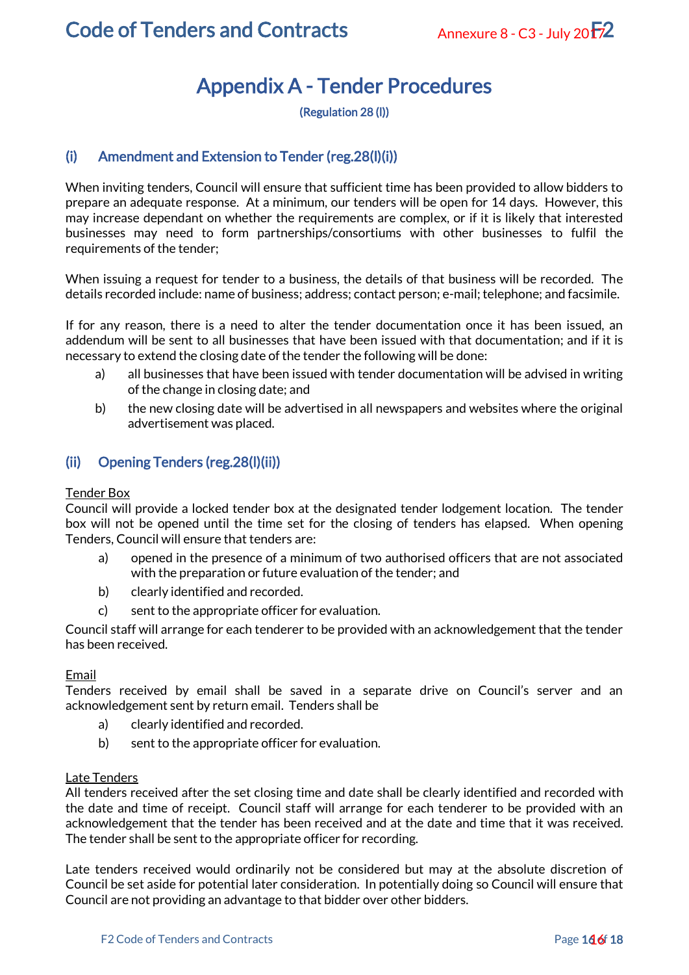# Appendix A - Tender Procedures

(Regulation 28 (l))

# (i) Amendment and Extension to Tender (reg.28(l)(i))

<span id="page-15-0"></span>When inviting tenders, Council will ensure that sufficient time has been provided to allow bidders to prepare an adequate response. At a minimum, our tenders will be open for 14 days. However, this may increase dependant on whether the requirements are complex, or if it is likely that interested businesses may need to form partnerships/consortiums with other businesses to fulfil the requirements of the tender; Annexure 8 - C3 - July 2017<br>
2017<br>
2017<br>
2017<br>
2017<br>
2017<br>
2017<br>
2017<br>
2017<br>
2017<br>
2016<br>
2016<br>
2016<br>
2016<br>
2016<br>
2016<br>
2016<br>
2016<br>
2016<br>
2016<br>
2016<br>
2016<br>
2016<br>
2016<br>
2016<br>
2016<br>
2016<br>
2016<br>
2016<br>
2016<br>
2016<br>
2016<br>
2016<br>
2

When issuing a request for tender to a business, the details of that business will be recorded. The details recorded include: name of business; address; contact person; e-mail; telephone; and facsimile.

If for any reason, there is a need to alter the tender documentation once it has been issued, an addendum will be sent to all businesses that have been issued with that documentation; and if it is necessary to extend the closing date of the tender the following will be done:

- a) all businesses that have been issued with tender documentation will be advised in writing of the change in closing date; and
- b) the new closing date will be advertised in all newspapers and websites where the original advertisement was placed.

## (ii) Opening Tenders (reg.28(l)(ii))

#### Tender Box

Council will provide a locked tender box at the designated tender lodgement location. The tender box will not be opened until the time set for the closing of tenders has elapsed. When opening Tenders, Council will ensure that tenders are:

- a) opened in the presence of a minimum of two authorised officers that are not associated with the preparation or future evaluation of the tender; and
- b) clearly identified and recorded.
- c) sent to the appropriate officer for evaluation.

Council staff will arrange for each tenderer to be provided with an acknowledgement that the tender has been received.

#### Email

Tenders received by email shall be saved in a separate drive on Council's server and an acknowledgement sent by return email. Tenders shall be

- a) clearly identified and recorded.
- b) sent to the appropriate officer for evaluation.

#### Late Tenders

All tenders received after the set closing time and date shall be clearly identified and recorded with the date and time of receipt. Council staff will arrange for each tenderer to be provided with an acknowledgement that the tender has been received and at the date and time that it was received. The tender shall be sent to the appropriate officer for recording.

Late tenders received would ordinarily not be considered but may at the absolute discretion of Council be set aside for potential later consideration. In potentially doing so Council will ensure that Council are not providing an advantage to that bidder over other bidders.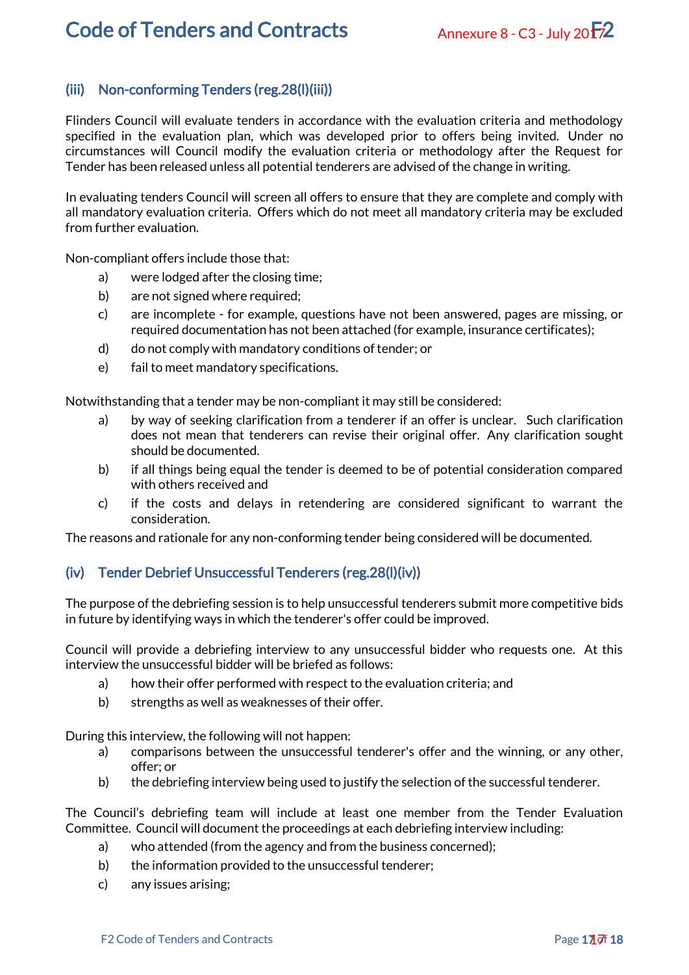# (iii) Non-conforming Tenders (reg.28(l)(iii))

Flinders Council will evaluate tenders in accordance with the evaluation criteria and methodology specified in the [evaluation plan,](http://www.purchasing.tas.gov.au/buyingforgovernment/getpage.jsp?uid=2E55DD5E3A197EF4CA256C9200097261) which was developed prior to offers being invited. Under no circumstances will Council modify the evaluation criteria or methodology after the Request for Tender has been released unless all potential tenderers are advised of the change in writing. Annexure 8 - C3 - July 2017<br>
Uuation criteria and methodol<br>
offers being invited. Under<br>
offers being invited.<br>
Under<br>
Under the Request<br>
of the change in writing.<br>
Ney are complete and comply we<br>
mediatory criteria may be

In evaluating tenders Council will screen all offers to ensure that they are complete and comply with all mandatory evaluation criteria. Offers which do not meet all mandatory criteria may be excluded from further evaluation.

Non-compliant offers include those that:

- a) were lodged after the closing time;
- b) are not signed where required;
- c) are incomplete for example, questions have not been answered, pages are missing, or required documentation has not been attached (for example, insurance certificates);
- d) do not comply with mandatory conditions of tender; or
- e) fail to meet mandatory specifications.

Notwithstanding that a tender may be non-compliant it may still be considered:

- a) by way of seeking clarification from a tenderer if an offer is unclear. Such clarification does not mean that tenderers can revise their original offer. Any clarification sought should be documented.
- b) if all things being equal the tender is deemed to be of potential consideration compared with others received and
- c) if the costs and delays in retendering are considered significant to warrant the consideration.

The reasons and rationale for any non-conforming tender being considered will be documented.

#### (iv) Tender Debrief Unsuccessful Tenderers (reg.28(l)(iv))

The purpose of the debriefing session is to help unsuccessful tenderers submit more competitive bids in future by identifying ways in which the tenderer's offer could be improved.

Council will provide a debriefing interview to any unsuccessful bidder who requests one. At this interview the unsuccessful bidder will be briefed as follows:

- a) how their offer performed with respect to the evaluation criteria; and
- b) strengths as well as weaknesses of their offer.

During this interview, the following will not happen:

- a) comparisons between the unsuccessful tenderer's offer and the winning, or any other, offer; or
- b) the debriefing interview being used to justify the selection of the successful tenderer.

The Council's debriefing team will include at least one member from the Tender Evaluation Committee. Council will document the proceedings at each debriefing interview including:

- a) who attended (from the agency and from the business concerned);
- b) the information provided to the unsuccessful tenderer;
- c) any issues arising;